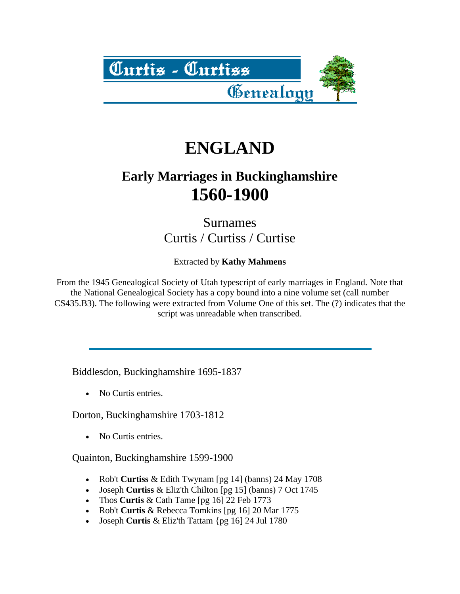

## **ENGLAND**

## **Early Marriages in Buckinghamshire 1560-1900**

Surnames Curtis / Curtiss / Curtise

Extracted by **Kathy Mahmens**

From the 1945 Genealogical Society of Utah typescript of early marriages in England. Note that the National Genealogical Society has a copy bound into a nine volume set (call number CS435.B3). The following were extracted from Volume One of this set. The (?) indicates that the script was unreadable when transcribed.

Biddlesdon, Buckinghamshire 1695-1837

• No Curtis entries.

Dorton, Buckinghamshire 1703-1812

• No Curtis entries.

Quainton, Buckinghamshire 1599-1900

- Rob't **Curtiss** & Edith Twynam [pg 14] (banns) 24 May 1708
- Joseph **Curtiss** & Eliz'th Chilton [pg 15] (banns) 7 Oct 1745
- Thos **Curtis** & Cath Tame [pg 16] 22 Feb 1773
- Rob't **Curtis** & Rebecca Tomkins [pg 16] 20 Mar 1775
- Joseph **Curtis** & Eliz'th Tattam {pg 16] 24 Jul 1780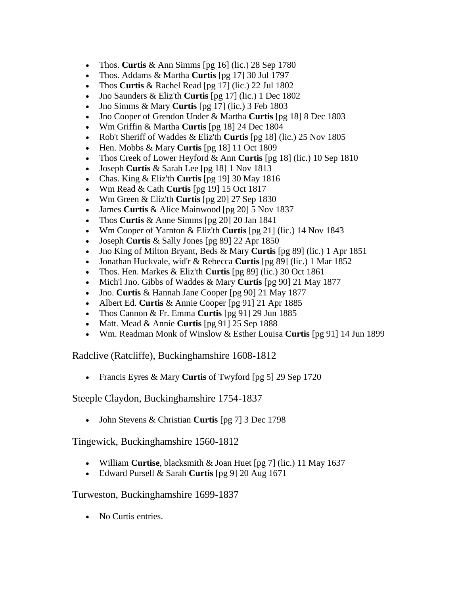- Thos. **Curtis** & Ann Simms [pg 16] (lic.) 28 Sep 1780
- Thos. Addams & Martha **Curtis** [pg 17] 30 Jul 1797
- Thos **Curtis** & Rachel Read [pg 17] (lic.) 22 Jul 1802
- Jno Saunders & Eliz'th **Curtis** [pg 17] (lic.) 1 Dec 1802
- Jno Simms & Mary **Curtis** [pg 17] (lic.) 3 Feb 1803
- Jno Cooper of Grendon Under & Martha **Curtis** [pg 18] 8 Dec 1803
- Wm Griffin & Martha **Curtis** [pg 18] 24 Dec 1804
- Rob't Sheriff of Waddes & Eliz'th **Curtis** [pg 18] (lic.) 25 Nov 1805
- Hen. Mobbs & Mary **Curtis** [pg 18] 11 Oct 1809
- Thos Creek of Lower Heyford & Ann **Curtis** [pg 18] (lic.) 10 Sep 1810
- Joseph **Curtis** & Sarah Lee [pg 18] 1 Nov 1813
- Chas. King & Eliz'th **Curtis** [pg 19] 30 May 1816
- Wm Read & Cath **Curtis** [pg 19] 15 Oct 1817
- Wm Green & Eliz'th **Curtis** [pg 20] 27 Sep 1830
- James **Curtis** & Alice Mainwood [pg 20] 5 Nov 1837
- Thos **Curtis** & Anne Simms [pg 20] 20 Jan 1841
- Wm Cooper of Yarnton & Eliz'th **Curtis** [pg 21] (lic.) 14 Nov 1843
- Joseph **Curtis** & Sally Jones [pg 89] 22 Apr 1850
- Jno King of Milton Bryant, Beds & Mary **Curtis** [pg 89] (lic.) 1 Apr 1851
- Jonathan Huckvale, wid'r & Rebecca **Curtis** [pg 89] (lic.) 1 Mar 1852
- Thos. Hen. Markes & Eliz'th **Curtis** [pg 89] (lic.) 30 Oct 1861
- Mich'l Jno. Gibbs of Waddes & Mary **Curtis** [pg 90] 21 May 1877
- Jno. **Curtis** & Hannah Jane Cooper [pg 90] 21 May 1877
- Albert Ed. **Curtis** & Annie Cooper [pg 91] 21 Apr 1885
- Thos Cannon & Fr. Emma **Curtis** [pg 91] 29 Jun 1885
- Matt. Mead & Annie **Curtis** [pg 91] 25 Sep 1888
- Wm. Readman Monk of Winslow & Esther Louisa **Curtis** [pg 91] 14 Jun 1899

Radclive (Ratcliffe), Buckinghamshire 1608-1812

Francis Eyres & Mary **Curtis** of Twyford [pg 5] 29 Sep 1720

Steeple Claydon, Buckinghamshire 1754-1837

John Stevens & Christian **Curtis** [pg 7] 3 Dec 1798

Tingewick, Buckinghamshire 1560-1812

- William **Curtise**, blacksmith & Joan Huet [pg 7] (lic.) 11 May 1637
- Edward Pursell & Sarah **Curtis** [pg 9] 20 Aug 1671

Turweston, Buckinghamshire 1699-1837

• No Curtis entries.